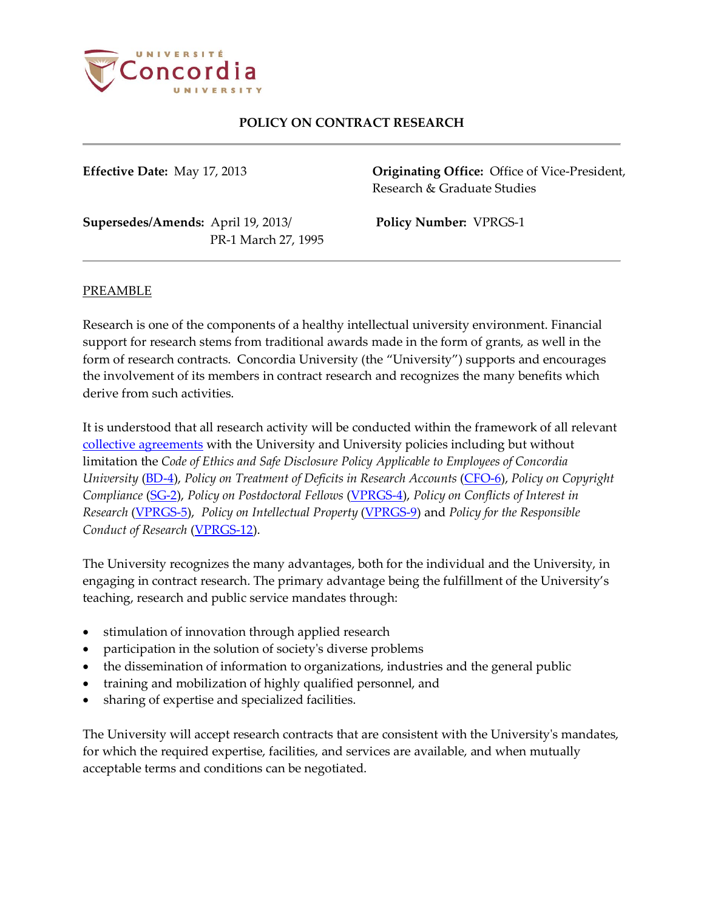

**Effective Date:** May 17, 2013 **Originating Office:** Office of Vice-President, Research & Graduate Studies

**Supersedes/Amends:** April 19, 2013/ **Policy Number:** VPRGS-1 PR-1 March 27, 1995

#### PREAMBLE

Research is one of the components of a healthy intellectual university environment. Financial support for research stems from traditional awards made in the form of grants, as well in the form of research contracts. Concordia University (the "University") supports and encourages the involvement of its members in contract research and recognizes the many benefits which derive from such activities.

It is understood that all research activity will be conducted within the framework of all relevant [collective agreements](http://www.concordia.ca/hr/dept/employee-labour-relations/labour-agreements.html) with the University and University policies including but without limitation the *Code of Ethics and Safe Disclosure Policy Applicable to Employees of Concordia University* [\(BD-4\)](http://www.concordia.ca/content/dam/common/docs/policies/official-policies/BD-4.pdf), *Policy on Treatment of Deficits in Research Accounts* [\(CFO-6\)](http://www.concordia.ca/content/dam/common/docs/policies/official-policies/CFO-6.pdf), *Policy on Copyright Compliance* [\(SG-2\)](http://www.concordia.ca/content/dam/common/docs/policies/official-policies/SG-2.pdf), *Policy on Postdoctoral Fellows* [\(VPRGS-4\)](http://www.concordia.ca/content/dam/common/docs/policies/official-policies/VPRGS-4.pdf), *Policy on Conflicts of Interest in Research* [\(VPRGS-5\)](http://www.concordia.ca/content/dam/common/docs/policies/official-policies/VPRGS-5.pdf), *Policy on Intellectual Property* [\(VPRGS-9\)](http://www.concordia.ca/content/dam/common/docs/policies/official-policies/VPRGS-9.pdf) and *Policy for the Responsible Conduct of Research* [\(VPRGS-12\)](http://www.concordia.ca/content/dam/common/docs/policies/official-policies/VPRGS-12.pdf).

The University recognizes the many advantages, both for the individual and the University, in engaging in contract research. The primary advantage being the fulfillment of the University's teaching, research and public service mandates through:

- stimulation of innovation through applied research
- participation in the solution of society's diverse problems
- the dissemination of information to organizations, industries and the general public
- training and mobilization of highly qualified personnel, and
- sharing of expertise and specialized facilities.

The University will accept research contracts that are consistent with the University's mandates, for which the required expertise, facilities, and services are available, and when mutually acceptable terms and conditions can be negotiated.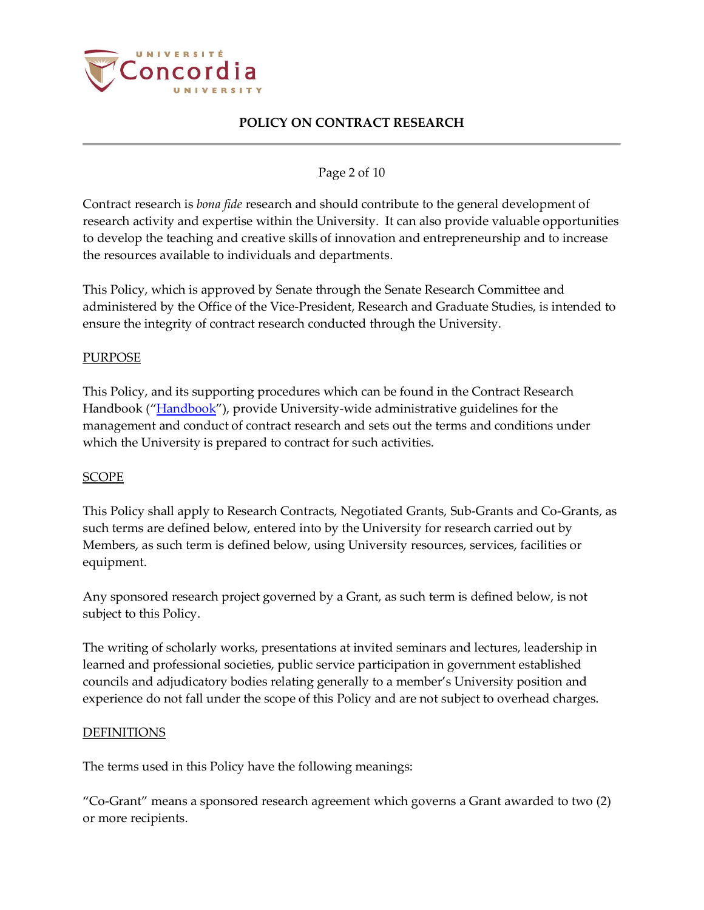

### Page 2 of 10

Contract research is *bona fide* research and should contribute to the general development of research activity and expertise within the University. It can also provide valuable opportunities to develop the teaching and creative skills of innovation and entrepreneurship and to increase the resources available to individuals and departments.

This Policy, which is approved by Senate through the Senate Research Committee and administered by the Office of the Vice-President, Research and Graduate Studies, is intended to ensure the integrity of contract research conducted through the University.

#### PURPOSE

This Policy, and its supporting procedures which can be found in the Contract Research Handbook (["Handbook"](http://www.concordia.ca/content/dam/concordia/offices/vprgs/docs/Contract_Research_Handbook.pdf)), provide University-wide administrative guidelines for the management and conduct of contract research and sets out the terms and conditions under which the University is prepared to contract for such activities.

#### SCOPE

This Policy shall apply to Research Contracts, Negotiated Grants, Sub-Grants and Co-Grants, as such terms are defined below, entered into by the University for research carried out by Members, as such term is defined below, using University resources, services, facilities or equipment.

Any sponsored research project governed by a Grant, as such term is defined below, is not subject to this Policy.

The writing of scholarly works, presentations at invited seminars and lectures, leadership in learned and professional societies, public service participation in government established councils and adjudicatory bodies relating generally to a member's University position and experience do not fall under the scope of this Policy and are not subject to overhead charges.

#### **DEFINITIONS**

The terms used in this Policy have the following meanings:

"Co-Grant" means a sponsored research agreement which governs a Grant awarded to two (2) or more recipients.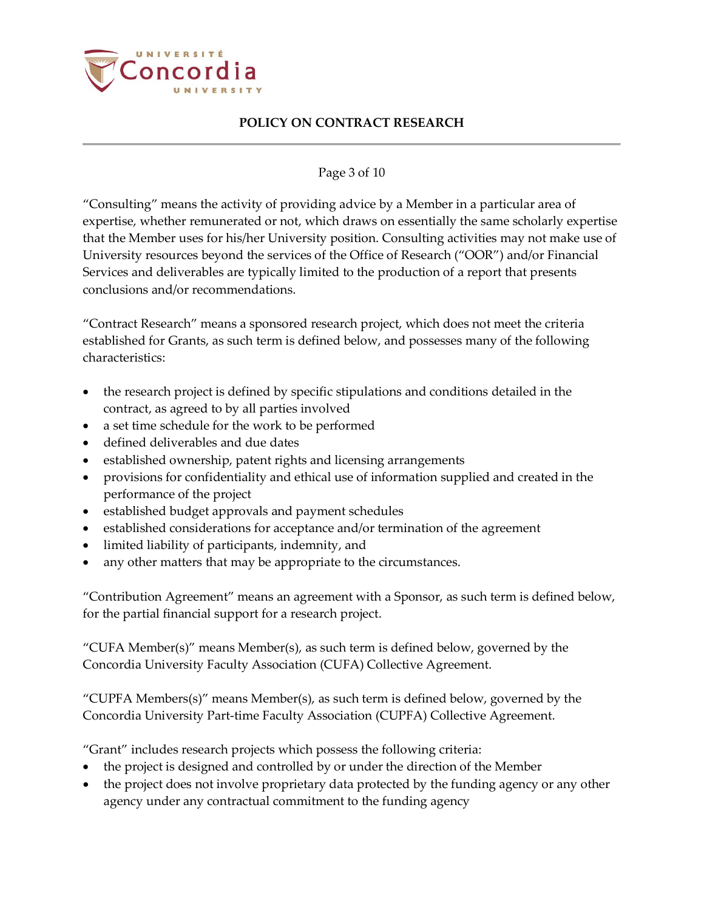

### Page 3 of 10

"Consulting" means the activity of providing advice by a Member in a particular area of expertise, whether remunerated or not, which draws on essentially the same scholarly expertise that the Member uses for his/her University position. Consulting activities may not make use of University resources beyond the services of the Office of Research ("OOR") and/or Financial Services and deliverables are typically limited to the production of a report that presents conclusions and/or recommendations.

"Contract Research" means a sponsored research project, which does not meet the criteria established for Grants, as such term is defined below, and possesses many of the following characteristics:

- the research project is defined by specific stipulations and conditions detailed in the contract, as agreed to by all parties involved
- a set time schedule for the work to be performed
- defined deliverables and due dates
- established ownership, patent rights and licensing arrangements
- provisions for confidentiality and ethical use of information supplied and created in the performance of the project
- established budget approvals and payment schedules
- established considerations for acceptance and/or termination of the agreement
- limited liability of participants, indemnity, and
- any other matters that may be appropriate to the circumstances.

"Contribution Agreement" means an agreement with a Sponsor, as such term is defined below, for the partial financial support for a research project.

"CUFA Member(s)" means Member(s), as such term is defined below, governed by the [Concordia University Faculty Association \(CUFA\) Collective Agreement.](http://www.concordia.ca/hr/documents/agreements/cufa-agreement.pdf)

"CUPFA Members $(s)$ " means Member $(s)$ , as such term is defined below, governed by the Concordia University Part-time Faculty Association (CUPFA) Collective Agreement.

"Grant" includes research projects which possess the following criteria:

- the project is designed and controlled by or under the direction of the Member
- the project does not involve proprietary data protected by the funding agency or any other agency under any contractual commitment to the funding agency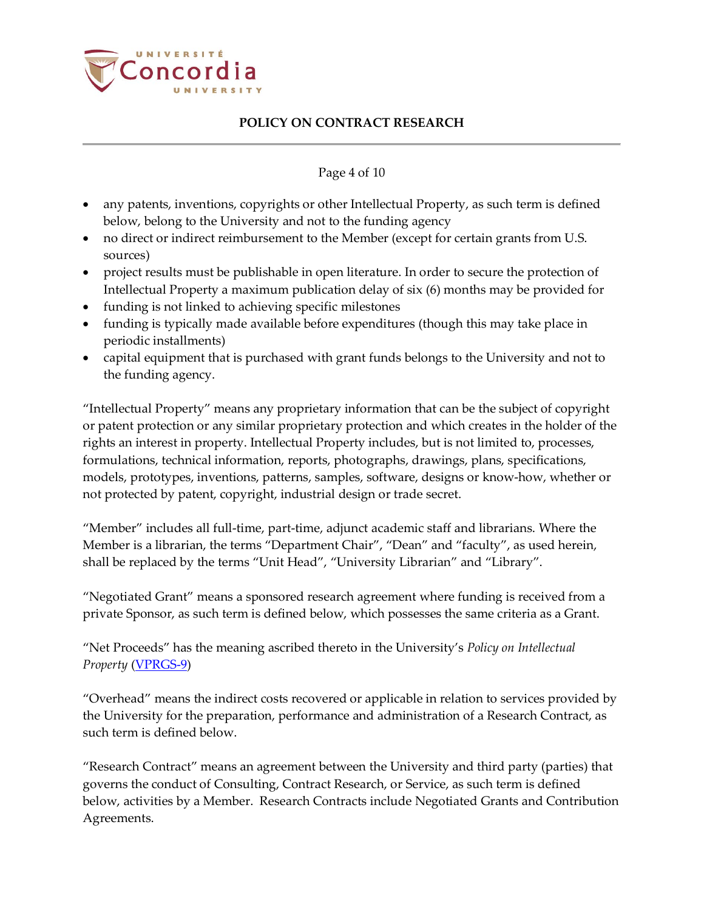

### Page 4 of 10

- any patents, inventions, copyrights or other Intellectual Property, as such term is defined below, belong to the University and not to the funding agency
- no direct or indirect reimbursement to the Member (except for certain grants from U.S. sources)
- project results must be publishable in open literature. In order to secure the protection of Intellectual Property a maximum publication delay of six (6) months may be provided for
- funding is not linked to achieving specific milestones
- funding is typically made available before expenditures (though this may take place in periodic installments)
- capital equipment that is purchased with grant funds belongs to the University and not to the funding agency.

"Intellectual Property" means any proprietary information that can be the subject of copyright or patent protection or any similar proprietary protection and which creates in the holder of the rights an interest in property. Intellectual Property includes, but is not limited to, processes, formulations, technical information, reports, photographs, drawings, plans, specifications, models, prototypes, inventions, patterns, samples, software, designs or know-how, whether or not protected by patent, copyright, industrial design or trade secret.

"Member" includes all full-time, part-time, adjunct academic staff and librarians. Where the Member is a librarian, the terms "Department Chair", "Dean" and "faculty", as used herein, shall be replaced by the terms "Unit Head", "University Librarian" and "Library".

"Negotiated Grant" means a sponsored research agreement where funding is received from a private Sponsor, as such term is defined below, which possesses the same criteria as a Grant.

"Net Proceeds" has the meaning ascribed thereto in the University's *Policy on Intellectual Property* [\(VPRGS-9\)](http://www.concordia.ca/content/dam/common/docs/policies/official-policies/VPRGS-9.pdf)

"Overhead" means the indirect costs recovered or applicable in relation to services provided by the University for the preparation, performance and administration of a Research Contract, as such term is defined below.

"Research Contract" means an agreement between the University and third party (parties) that governs the conduct of Consulting, Contract Research, or Service, as such term is defined below, activities by a Member. Research Contracts include Negotiated Grants and Contribution Agreements.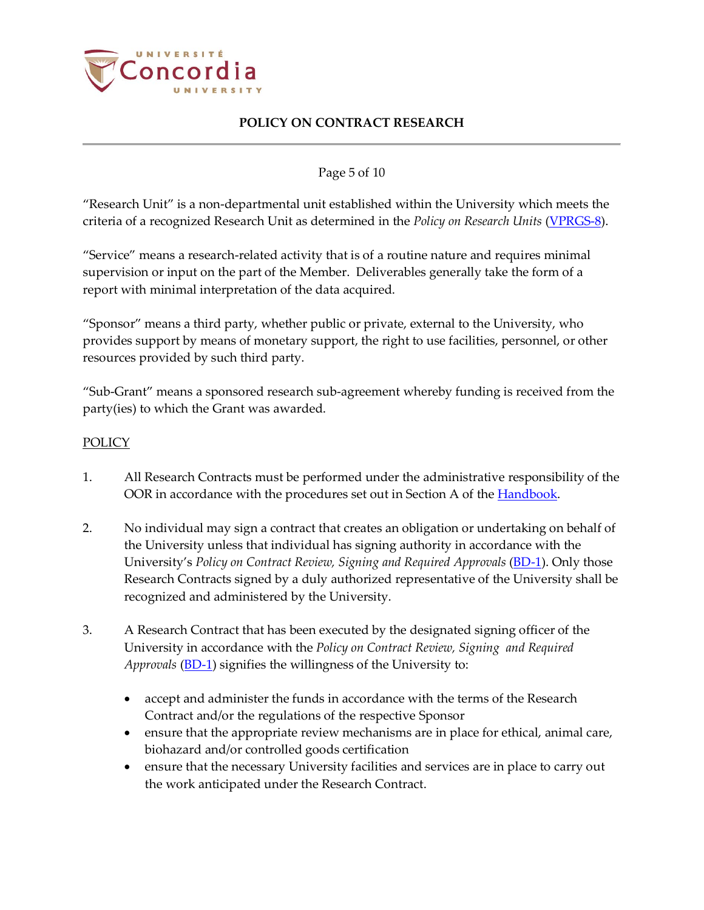

### Page 5 of 10

"Research Unit" is a non-departmental unit established within the University which meets the criteria of a recognized Research Unit as determined in the *Policy on Research Units* [\(VPRGS-8\)](http://www.concordia.ca/content/dam/common/docs/policies/official-policies/VPRGS-8.pdf).

"Service" means a research-related activity that is of a routine nature and requires minimal supervision or input on the part of the Member. Deliverables generally take the form of a report with minimal interpretation of the data acquired.

"Sponsor" means a third party, whether public or private, external to the University, who provides support by means of monetary support, the right to use facilities, personnel, or other resources provided by such third party.

"Sub-Grant" means a sponsored research sub-agreement whereby funding is received from the party(ies) to which the Grant was awarded.

#### POLICY

- 1. All Research Contracts must be performed under the administrative responsibility of the OOR in accordance with the procedures set out in Section A of th[e Handbook.](http://www.concordia.ca/content/dam/concordia/offices/vprgs/docs/Contract_Research_Handbook.pdf)
- 2. No individual may sign a contract that creates an obligation or undertaking on behalf of the University unless that individual has signing authority in accordance with the University's *Policy on Contract Review, Signing and Required Approvals* [\(BD-1\)](http://www.concordia.ca/content/dam/common/docs/policies/official-policies/BD-1.pdf). Only those Research Contracts signed by a duly authorized representative of the University shall be recognized and administered by the University.
- 3. A Research Contract that has been executed by the designated signing officer of the University in accordance with the *Policy on Contract Review, Signing and Required Approvals* [\(BD-1\)](http://www.concordia.ca/content/dam/common/docs/policies/official-policies/BD-1.pdf) signifies the willingness of the University to:
	- accept and administer the funds in accordance with the terms of the Research Contract and/or the regulations of the respective Sponsor
	- ensure that the appropriate review mechanisms are in place for ethical, animal care, biohazard and/or controlled goods certification
	- ensure that the necessary University facilities and services are in place to carry out the work anticipated under the Research Contract.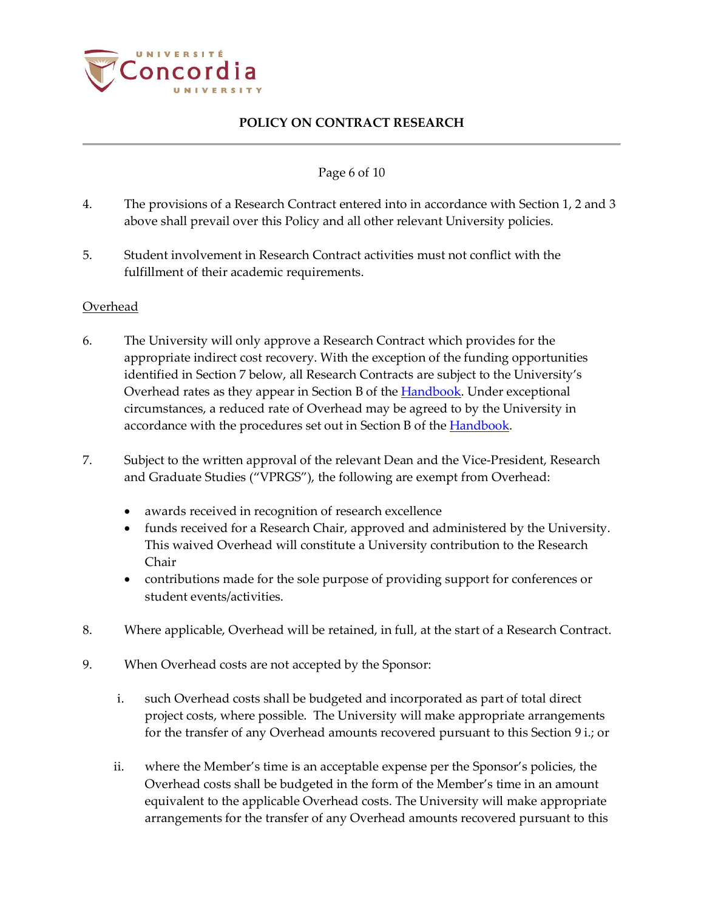

#### Page 6 of 10

- 4. The provisions of a Research Contract entered into in accordance with Section 1, 2 and 3 above shall prevail over this Policy and all other relevant University policies.
- 5. Student involvement in Research Contract activities must not conflict with the fulfillment of their academic requirements.

#### Overhead

- 6. The University will only approve a Research Contract which provides for the appropriate indirect cost recovery. With the exception of the funding opportunities identified in Section 7 below, all Research Contracts are subject to the University's Overhead rates as they appear in Section B of the **Handbook**. Under exceptional circumstances, a reduced rate of Overhead may be agreed to by the University in accordance with the procedures set out in Section B of the **Handbook**.
- 7. Subject to the written approval of the relevant Dean and the Vice-President, Research and Graduate Studies ("VPRGS"), the following are exempt from Overhead:
	- awards received in recognition of research excellence
	- funds received for a Research Chair, approved and administered by the University. This waived Overhead will constitute a University contribution to the Research Chair
	- contributions made for the sole purpose of providing support for conferences or student events/activities.
- 8. Where applicable, Overhead will be retained, in full, at the start of a Research Contract.
- 9. When Overhead costs are not accepted by the Sponsor:
	- i. such Overhead costs shall be budgeted and incorporated as part of total direct project costs, where possible. The University will make appropriate arrangements for the transfer of any Overhead amounts recovered pursuant to this Section 9 i.; or
	- ii. where the Member's time is an acceptable expense per the Sponsor's policies, the Overhead costs shall be budgeted in the form of the Member's time in an amount equivalent to the applicable Overhead costs. The University will make appropriate arrangements for the transfer of any Overhead amounts recovered pursuant to this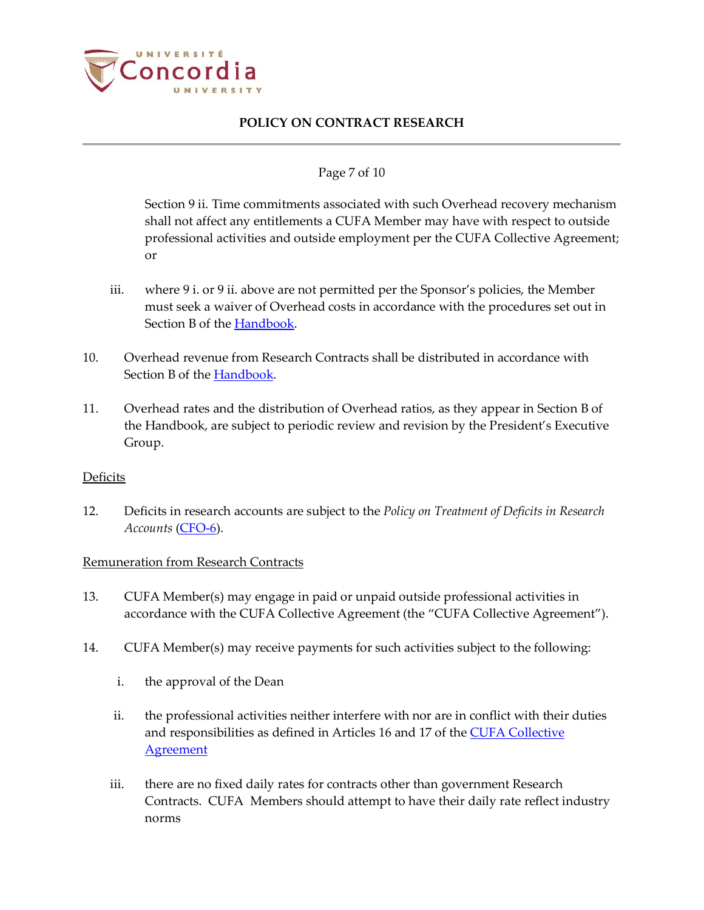

#### Page 7 of 10

Section 9 ii. Time commitments associated with such Overhead recovery mechanism shall not affect any entitlements a CUFA Member may have with respect to outside professional activities and outside employment per the CUFA Collective Agreement; or

- iii. where 9 i. or 9 ii. above are not permitted per the Sponsor's policies, the Member must seek a waiver of Overhead costs in accordance with the procedures set out in Section B of the [Handbook.](http://www.concordia.ca/content/dam/concordia/offices/vprgs/docs/Contract_Research_Handbook.pdf)
- 10. Overhead revenue from Research Contracts shall be distributed in accordance with Section B of the [Handbook.](http://www.concordia.ca/content/dam/concordia/offices/vprgs/docs/Contract_Research_Handbook.pdf)
- 11. Overhead rates and the distribution of Overhead ratios, as they appear in Section B of the Handbook, are subject to periodic review and revision by the President's Executive Group.

#### Deficits

12. Deficits in research accounts are subject to the *Policy on Treatment of Deficits in Research Accounts* [\(CFO-6\)](http://www.concordia.ca/content/dam/common/docs/policies/official-policies/CFO-6.pdf).

#### Remuneration from Research Contracts

- 13. CUFA Member(s) may engage in paid or unpaid outside professional activities in accordance with the CUFA Collective Agreement (the "CUFA Collective Agreement").
- 14. CUFA Member(s) may receive payments for such activities subject to the following:
	- i. the approval of the Dean
	- ii. the professional activities neither interfere with nor are in conflict with their duties and responsibilities as defined in Articles 16 and 17 of the **CUFA Collective [Agreement](http://www.concordia.ca/hr/dept/employee-labour-relations/labour-agreements.html)**
	- iii. there are no fixed daily rates for contracts other than government Research Contracts. CUFA Members should attempt to have their daily rate reflect industry norms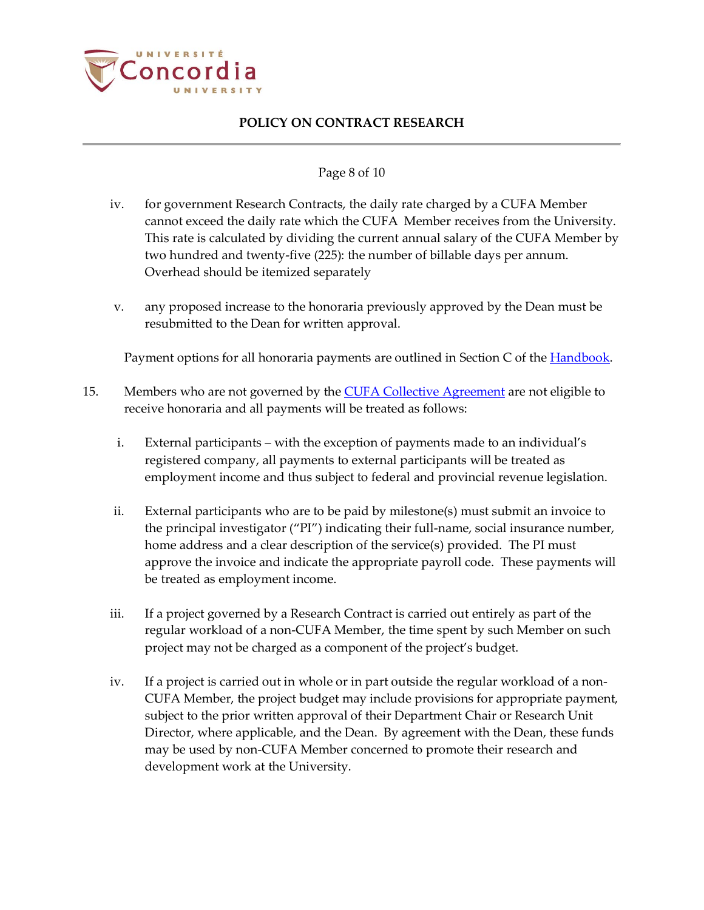

#### Page 8 of 10

- iv. for government Research Contracts, the daily rate charged by a CUFA Member cannot exceed the daily rate which the CUFA Member receives from the University. This rate is calculated by dividing the current annual salary of the CUFA Member by two hundred and twenty-five (225): the number of billable days per annum. Overhead should be itemized separately
- v. any proposed increase to the honoraria previously approved by the Dean must be resubmitted to the Dean for written approval.

Payment options for all honoraria payments are outlined in Section C of the **Handbook**.

- 15. Members who are not governed by the **CUFA Collective Agreement** are not eligible to receive honoraria and all payments will be treated as follows:
	- i. External participants with the exception of payments made to an individual's registered company, all payments to external participants will be treated as employment income and thus subject to federal and provincial revenue legislation.
	- ii. External participants who are to be paid by milestone(s) must submit an invoice to the principal investigator ("PI") indicating their full-name, social insurance number, home address and a clear description of the service(s) provided. The PI must approve the invoice and indicate the appropriate payroll code. These payments will be treated as employment income.
	- iii. If a project governed by a Research Contract is carried out entirely as part of the regular workload of a non-CUFA Member, the time spent by such Member on such project may not be charged as a component of the project's budget.
	- iv. If a project is carried out in whole or in part outside the regular workload of a non-CUFA Member, the project budget may include provisions for appropriate payment, subject to the prior written approval of their Department Chair or Research Unit Director, where applicable, and the Dean. By agreement with the Dean, these funds may be used by non-CUFA Member concerned to promote their research and development work at the University.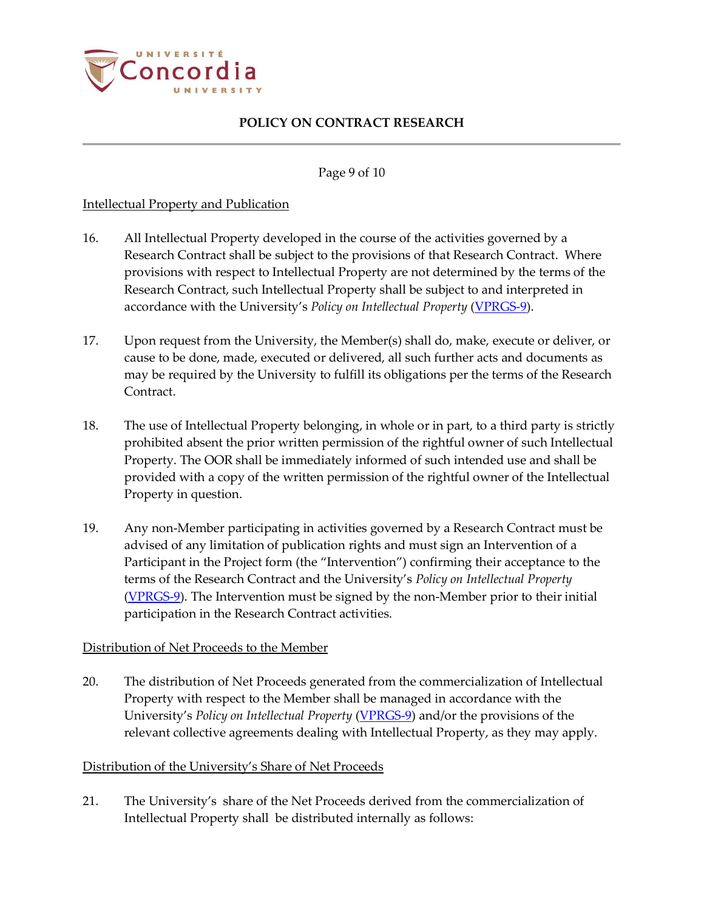

Page 9 of 10

### Intellectual Property and Publication

- 16. All Intellectual Property developed in the course of the activities governed by a Research Contract shall be subject to the provisions of that Research Contract. Where provisions with respect to Intellectual Property are not determined by the terms of the Research Contract, such Intellectual Property shall be subject to and interpreted in accordance with the University's *Policy on Intellectual Property* [\(VPRGS-9\)](http://www.concordia.ca/content/dam/common/docs/policies/official-policies/VPRGS-9.pdf).
- 17. Upon request from the University, the Member(s) shall do, make, execute or deliver, or cause to be done, made, executed or delivered, all such further acts and documents as may be required by the University to fulfill its obligations per the terms of the Research Contract.
- 18. The use of Intellectual Property belonging, in whole or in part, to a third party is strictly prohibited absent the prior written permission of the rightful owner of such Intellectual Property. The OOR shall be immediately informed of such intended use and shall be provided with a copy of the written permission of the rightful owner of the Intellectual Property in question.
- 19. Any non-Member participating in activities governed by a Research Contract must be advised of any limitation of publication rights and must sign an Intervention of a Participant in the Project form (the "Intervention") confirming their acceptance to the terms of the Research Contract and the University's *Policy on Intellectual Property* [\(VPRGS-9\)](http://www.concordia.ca/content/dam/common/docs/policies/official-policies/VPRGS-9.pdf). The Intervention must be signed by the non-Member prior to their initial participation in the Research Contract activities.

#### Distribution of Net Proceeds to the Member

20. The distribution of Net Proceeds generated from the commercialization of Intellectual Property with respect to the Member shall be managed in accordance with the University's *Policy on Intellectual Property* [\(VPRGS-9\)](http://www.concordia.ca/content/dam/common/docs/policies/official-policies/VPRGS-9.pdf) and/or the provisions of the relevant collective agreements dealing with Intellectual Property, as they may apply.

#### Distribution of the University's Share of Net Proceeds

21. The University's share of the Net Proceeds derived from the commercialization of Intellectual Property shall be distributed internally as follows: